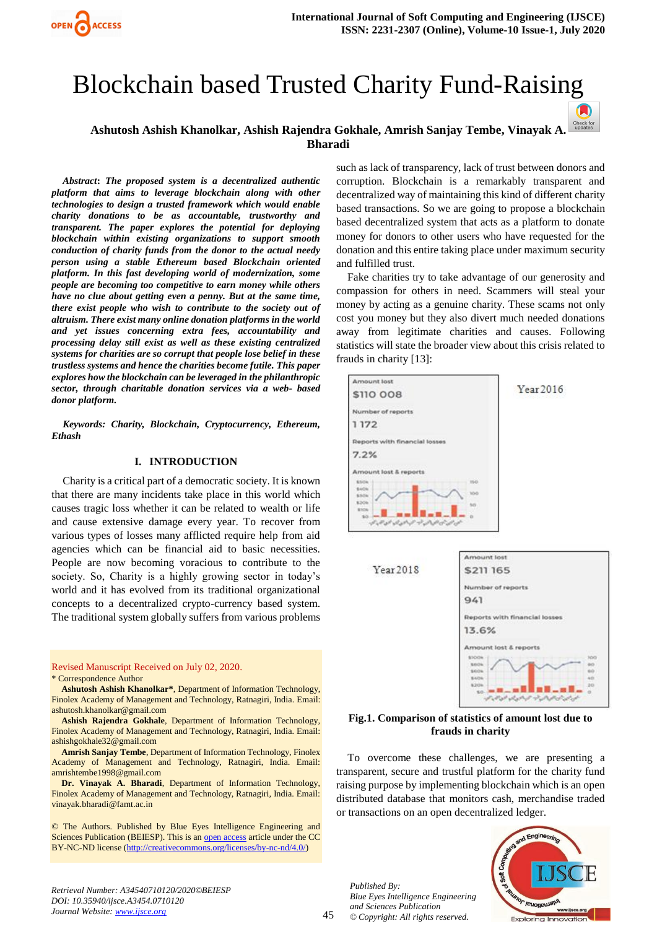

# Blockchain based Trusted Charity Fund-Raising

# **Ashutosh Ashish Khanolkar, Ashish Rajendra Gokhale, Amrish Sanjay Tembe, Vinayak A. Bharadi**

*Abstract***:** *The proposed system is a decentralized authentic platform that aims to leverage blockchain along with other technologies to design a trusted framework which would enable charity donations to be as accountable, trustworthy and transparent. The paper explores the potential for deploying blockchain within existing organizations to support smooth conduction of charity funds from the donor to the actual needy person using a stable Ethereum based Blockchain oriented platform. In this fast developing world of modernization, some people are becoming too competitive to earn money while others have no clue about getting even a penny. But at the same time, there exist people who wish to contribute to the society out of altruism. There exist many online donation platforms in the world and yet issues concerning extra fees, accountability and processing delay still exist as well as these existing centralized systems for charities are so corrupt that people lose belief in these trustless systems and hence the charities become futile. This paper explores how the blockchain can be leveraged in the philanthropic sector, through charitable donation services via a web- based donor platform.*

*Keywords: Charity, Blockchain, Cryptocurrency, Ethereum, Ethash* 

#### **I. INTRODUCTION**

Charity is a critical part of a democratic society. It is known that there are many incidents take place in this world which causes tragic loss whether it can be related to wealth or life and cause extensive damage every year. To recover from various types of losses many afflicted require help from aid agencies which can be financial aid to basic necessities. People are now becoming voracious to contribute to the society. So, Charity is a highly growing sector in today's world and it has evolved from its traditional organizational concepts to a decentralized crypto-currency based system. The traditional system globally suffers from various problems

Revised Manuscript Received on July 02, 2020. \* Correspondence Author

**Ashutosh Ashish Khanolkar\***, Department of Information Technology, Finolex Academy of Management and Technology, Ratnagiri, India. Email: [ashutosh.khanolkar@gmail.com](mailto:ashutosh.khanolkar@gmail.com)

**Ashish Rajendra Gokhale**, Department of Information Technology, Finolex Academy of Management and Technology, Ratnagiri, India. Email: [ashishgokhale32@gmail.com](mailto:ashishgokhale32@gmail.com) 

**Amrish Sanjay Tembe**, Department of Information Technology, Finolex Academy of Management and Technology, Ratnagiri, India. Email: [amrishtembe1998@gmail.com](mailto:amrishtembe1998@gmail.com)

**Dr. Vinayak A. Bharadi**, Department of Information Technology, Finolex Academy of Management and Technology, Ratnagiri, India. Email: [vinayak.bharadi@famt.ac.in](mailto:vinayak.bharadi@famt.ac.in)

© The Authors. Published by Blue Eyes Intelligence Engineering and Sciences Publication (BEIESP). This is an [open access](https://www.openaccess.nl/en/open-publications) article under the CC BY-NC-ND license [\(http://creativecommons.org/licenses/by-nc-nd/4.0/\)](http://creativecommons.org/licenses/by-nc-nd/4.0/)

such as lack of transparency, lack of trust between donors and corruption. Blockchain is a remarkably transparent and decentralized way of maintaining this kind of different charity based transactions. So we are going to propose a blockchain based decentralized system that acts as a platform to donate money for donors to other users who have requested for the donation and this entire taking place under maximum security and fulfilled trust.

 $\blacksquare$ 

Fake charities try to take advantage of our generosity and compassion for others in need. Scammers will steal your money by acting as a genuine charity. These scams not only cost you money but they also divert much needed donations away from legitimate charities and causes. Following statistics will state the broader view about this crisis related to frauds in charity [13]:





#### **Fig.1. Comparison of statistics of amount lost due to frauds in charity**

To overcome these challenges, we are presenting a transparent, secure and trustful platform for the charity fund raising purpose by implementing blockchain which is an open distributed database that monitors cash, merchandise traded or transactions on an open decentralized ledger.

*Published By: Blue Eyes Intelligence Engineering and Sciences Publication © Copyright: All rights reserved.*



*Retrieval Number: A34540710120/2020©BEIESP DOI: 10.35940/ijsce.A3454.0710120 Journal Website: www.ijsce.org*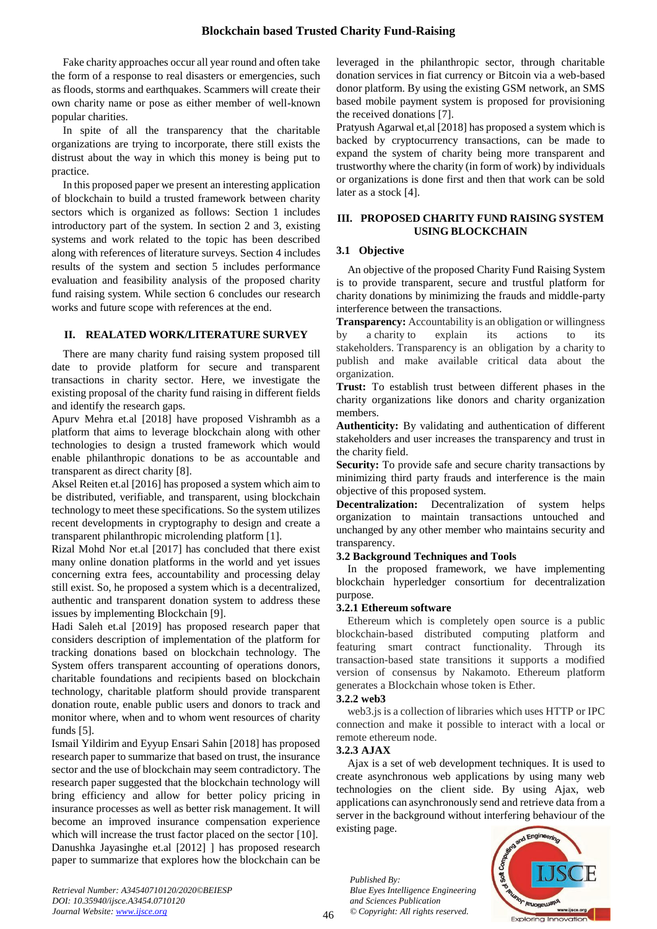Fake charity approaches occur all year round and often take the form of a response to real disasters or emergencies, such as floods, storms and earthquakes. Scammers will create their own charity name or pose as either member of well-known popular charities.

In spite of all the transparency that the charitable organizations are trying to incorporate, there still exists the distrust about the way in which this money is being put to practice.

In this proposed paper we present an interesting application of blockchain to build a trusted framework between charity sectors which is organized as follows: Section 1 includes introductory part of the system. In section 2 and 3, existing systems and work related to the topic has been described along with references of literature surveys. Section 4 includes results of the system and section 5 includes performance evaluation and feasibility analysis of the proposed charity fund raising system. While section 6 concludes our research works and future scope with references at the end.

## **II. REALATED WORK/LITERATURE SURVEY**

There are many charity fund raising system proposed till date to provide platform for secure and transparent transactions in charity sector. Here, we investigate the existing proposal of the charity fund raising in different fields and identify the research gaps.

Apurv Mehra et.al [2018] have proposed Vishrambh as a platform that aims to leverage blockchain along with other technologies to design a trusted framework which would enable philanthropic donations to be as accountable and transparent as direct charity [8].

Aksel Reiten et.al [2016] has proposed a system which aim to be distributed, verifiable, and transparent, using blockchain technology to meet these specifications. So the system utilizes recent developments in cryptography to design and create a transparent philanthropic microlending platform [1].

Rizal Mohd Nor et.al [2017] has concluded that there exist many online donation platforms in the world and yet issues concerning extra fees, accountability and processing delay still exist. So, he proposed a system which is a decentralized, authentic and transparent donation system to address these issues by implementing Blockchain [9].

Hadi Saleh et.al [2019] has proposed research paper that considers description of implementation of the platform for tracking donations based on blockchain technology. The System offers transparent accounting of operations donors, charitable foundations and recipients based on blockchain technology, charitable platform should provide transparent donation route, enable public users and donors to track and monitor where, when and to whom went resources of charity funds [5].

Ismail Yildirim and Eyyup Ensari Sahin [2018] has proposed research paper to summarize that based on trust, the insurance sector and the use of blockchain may seem contradictory. The research paper suggested that the blockchain technology will bring efficiency and allow for better policy pricing in insurance processes as well as better risk management. It will become an improved insurance compensation experience which will increase the trust factor placed on the sector [10]. Danushka Jayasinghe et.al [2012] ] has proposed research paper to summarize that explores how the blockchain can be leveraged in the philanthropic sector, through charitable donation services in fiat currency or Bitcoin via a web-based donor platform. By using the existing GSM network, an SMS based mobile payment system is proposed for provisioning the received donations [7].

Pratyush Agarwal et,al [2018] has proposed a system which is backed by cryptocurrency transactions, can be made to expand the system of charity being more transparent and trustworthy where the charity (in form of work) by individuals or organizations is done first and then that work can be sold later as a stock [4].

## **III. PROPOSED CHARITY FUND RAISING SYSTEM USING BLOCKCHAIN**

## **3.1 Objective**

An objective of the proposed Charity Fund Raising System is to provide transparent, secure and trustful platform for charity donations by minimizing the frauds and middle-party interference between the transactions.

**Transparency:** Accountability is an obligation or willingness by a charity to explain its actions to its stakeholders. Transparency is an obligation by a charity to publish and make available critical data about the organization.

**Trust:** To establish trust between different phases in the charity organizations like donors and charity organization members.

**Authenticity:** By validating and authentication of different stakeholders and user increases the transparency and trust in the charity field.

Security: To provide safe and secure charity transactions by minimizing third party frauds and interference is the main objective of this proposed system.

**Decentralization:** Decentralization of system helps organization to maintain transactions untouched and unchanged by any other member who maintains security and transparency.

## **3.2 Background Techniques and Tools**

In the proposed framework, we have implementing blockchain hyperledger consortium for decentralization purpose.

## **3.2.1 Ethereum software**

Ethereum which is completely open source is a public blockchain-based distributed computing platform and featuring smart contract functionality. Through its transaction-based state transitions it supports a modified version of consensus by Nakamoto. Ethereum platform generates a Blockchain whose token is Ether.

## **3.2.2 web3**

web3.js is a collection of libraries which uses HTTP or IPC connection and make it possible to interact with a local or remote ethereum node.

## **3.2.3 AJAX**

Ajax is a set of web development techniques. It is used to create asynchronous web applications by using many web technologies on the client side. By using Ajax, web applications can asynchronously send and retrieve data from a server in the background without interfering behaviour of the existing page.

*Published By: Blue Eyes Intelligence Engineering and Sciences Publication © Copyright: All rights reserved.*



*Retrieval Number: A34540710120/2020©BEIESP DOI: 10.35940/ijsce.A3454.0710120 Journal Website: www.ijsce.org*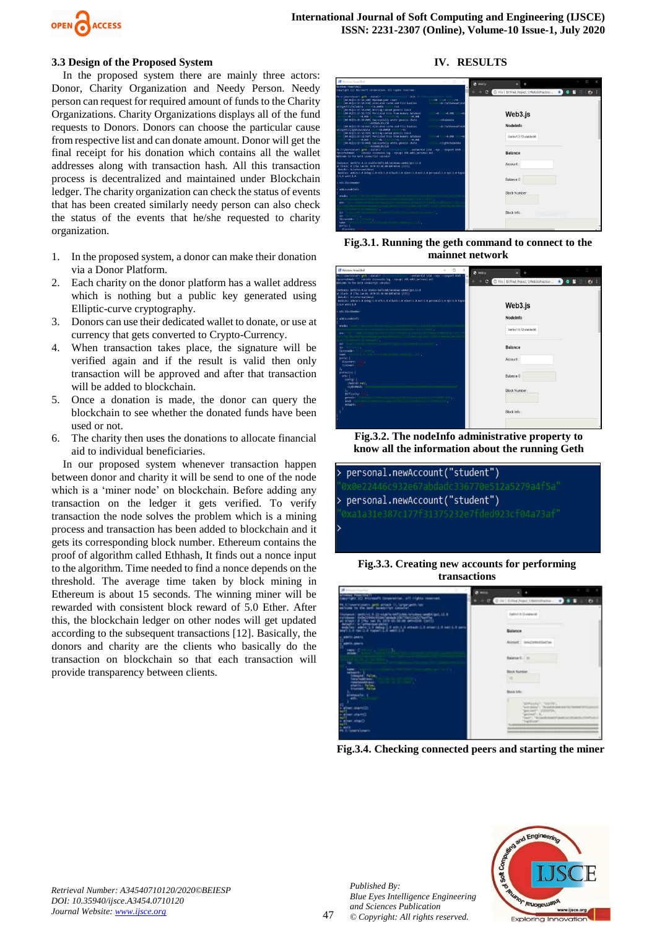

#### **3.3 Design of the Proposed System**

In the proposed system there are mainly three actors: Donor, Charity Organization and Needy Person. Needy person can request for required amount of funds to the Charity Organizations. Charity Organizations displays all of the fund requests to Donors. Donors can choose the particular cause from respective list and can donate amount. Donor will get the final receipt for his donation which contains all the wallet addresses along with transaction hash. All this transaction process is decentralized and maintained under Blockchain ledger. The charity organization can check the status of events that has been created similarly needy person can also check the status of the events that he/she requested to charity organization.

- 1. In the proposed system, a donor can make their donation via a Donor Platform.
- 2. Each charity on the donor platform has a wallet address which is nothing but a public key generated using Elliptic-curve cryptography.
- 3. Donors can use their dedicated wallet to donate, or use at currency that gets converted to Crypto-Currency.
- 4. When transaction takes place, the signature will be verified again and if the result is valid then only transaction will be approved and after that transaction will be added to blockchain.
- 5. Once a donation is made, the donor can query the blockchain to see whether the donated funds have been used or not.
- 6. The charity then uses the donations to allocate financial aid to individual beneficiaries.

In our proposed system whenever transaction happen between donor and charity it will be send to one of the node which is a 'miner node' on blockchain. Before adding any transaction on the ledger it gets verified. To verify transaction the node solves the problem which is a mining process and transaction has been added to blockchain and it gets its corresponding block number. Ethereum contains the proof of algorithm called Ethhash, It finds out a nonce input to the algorithm. Time needed to find a nonce depends on the threshold. The average time taken by block mining in Ethereum is about 15 seconds. The winning miner will be rewarded with consistent block reward of 5.0 Ether. After this, the blockchain ledger on other nodes will get updated according to the subsequent transactions [12]. Basically, the donors and charity are the clients who basically do the transaction on blockchain so that each transaction will provide transparency between clients.

#### **IV. RESULTS**

| <b>EW</b> Wretown PowerShall                                                                                                                                                                                                                                                                                                                                                                                                                                                                                                                                                                                                                                                                                                                                                                                                                                                                                                                                                                                                                                                                                                                                                                                                                                                                                                         | $-72$                                                                                                                                                                                              | <b>O</b> Weblin |                                                                       |      |    |  |
|--------------------------------------------------------------------------------------------------------------------------------------------------------------------------------------------------------------------------------------------------------------------------------------------------------------------------------------------------------------------------------------------------------------------------------------------------------------------------------------------------------------------------------------------------------------------------------------------------------------------------------------------------------------------------------------------------------------------------------------------------------------------------------------------------------------------------------------------------------------------------------------------------------------------------------------------------------------------------------------------------------------------------------------------------------------------------------------------------------------------------------------------------------------------------------------------------------------------------------------------------------------------------------------------------------------------------------------|----------------------------------------------------------------------------------------------------------------------------------------------------------------------------------------------------|-----------------|-----------------------------------------------------------------------|------|----|--|
| Windows PowerShell<br>Copyright (C) Microsoft Corporation, All rights reserved.                                                                                                                                                                                                                                                                                                                                                                                                                                                                                                                                                                                                                                                                                                                                                                                                                                                                                                                                                                                                                                                                                                                                                                                                                                                      |                                                                                                                                                                                                    | $\mathbf{C}$    | O File D;/Final Project_1/Web3JsPractice  ★ ●                         | 11 1 | еv |  |
| PS Coloberstoners geth ->datadir "Internacional Lait "Internacionalizacion"<br>(44-81 21:17:52.200) Naximum peer count<br>[04-01 21 17:52.530] Allocated cache and file handles<br>[04-01 21:17:52-690] Writing custom genesis block<br>[04-01 21:17:52.725] Persisted trie from memory database<br>ONE ON THE SECOND PROPERTY OF STREET<br>(04-01 21:17:52.009] Successfully wrote genesis state<br>- GGSGab Mc158<br>[04-01 21:17:52.061] Allocated cache and file handles<br>ai\\peth\\lightchaindata -16.000in -16<br>[04-01 21:17:52.969] Writing custom genesis block<br>[04-01]21:17:52.987] Persisted trie from momory database<br>. TO A RELEASE A REPORT OF A RELEASE AND DESCRIPTION OF A RELEASE OF A RELEASE OF A RELEASE OF A RELEASE OF A RELEASE OF A RELEASE OF A RELEASE OF A RELEASE OF A RELEASE OF A RELEASE OF A RELEASE OF A RELEASE OF A RELEASE<br>[04-01 21:17:53.048] Successfully wrote genesis state<br><b>HASANA MC15R</b><br>PS Colusershiners geth codatadir "minithermentalism" constantial 1234 corporations and<br>console 2>console.log --- rpcapi eth.web3.personal.net<br>rnccorxdonain. ""<br>Welcome to the Geth JavaScript console!<br>instance: Geth/v1.9.12-stable-t6f1cBic/windows-amdb1/go1.13.8<br>at block: 0 (The Jan 01 1970 05:30:00 GMT+0530 (15T))<br>datadir: Dilethereum\data1 | <b>COUNTY LINE</b><br><b>COLLAGE</b><br>-D:\\ethereum\\dat<br><b>STAGE</b><br>mit more echaindata<br>-Di\lethoreum\\dat<br>databas<br>140 1111-00-008 111-101<br>-lightchaindata<br><b>Address</b> |                 | Web3.js<br>Nodelnfo<br>Geth/v1.9.12-stable-b6<br>Balance<br>Account : |      |    |  |
| modules: admin:1.0 debug:1.0 eth:1.0 ethash:1.0 miner:1.0 net:1.0 personal:1.0 rpc:1.0 tupos<br>1:1.0 w61:1.0<br>ath.blocksunber                                                                                                                                                                                                                                                                                                                                                                                                                                                                                                                                                                                                                                                                                                                                                                                                                                                                                                                                                                                                                                                                                                                                                                                                     |                                                                                                                                                                                                    |                 | Balance 0                                                             |      |    |  |
| admin.nodeInfo                                                                                                                                                                                                                                                                                                                                                                                                                                                                                                                                                                                                                                                                                                                                                                                                                                                                                                                                                                                                                                                                                                                                                                                                                                                                                                                       |                                                                                                                                                                                                    |                 |                                                                       |      |    |  |
| enode: A root. //directed adapted city in particular constitues and transmission (bluradultuble)<br>the intransistance of California, Santa<br>enri<br>and a hotel daily to period 1 them more clear?<br>Dymentical-Interpolity                                                                                                                                                                                                                                                                                                                                                                                                                                                                                                                                                                                                                                                                                                                                                                                                                                                                                                                                                                                                                                                                                                      |                                                                                                                                                                                                    |                 | <b>Block Number</b>                                                   |      |    |  |
| 14: 'enable Distribution increased any nature relations them in this line bear',<br>too "tiris sin".<br>listenAddr:<br><b>Samuel</b><br>same: "nethral form stickle before the common metal priors of ,<br>ports: f<br>discovery:                                                                                                                                                                                                                                                                                                                                                                                                                                                                                                                                                                                                                                                                                                                                                                                                                                                                                                                                                                                                                                                                                                    |                                                                                                                                                                                                    |                 | Block Info:                                                           |      |    |  |

**Fig.3.1. Running the geth command to connect to the mainnet network**

| EW Windows PowerShall                                                                                                                                                                                                                                                                            | n.<br>×<br>$\Theta$ Web 3js                                |                                             |           |
|--------------------------------------------------------------------------------------------------------------------------------------------------------------------------------------------------------------------------------------------------------------------------------------------------|------------------------------------------------------------|---------------------------------------------|-----------|
| PS Columerslumers geth --datadir<br>console 2>console.log --rocani eth.web1.personal.net<br>rocconsdomain."<br>Welcome to the Geth JavaScript consolel                                                                                                                                           | --network1d 1234 --rpc --rpcport 8545 --<br>$\overline{c}$ | D File   D:/Final_Project_1/Web3JsPractice- | ŵ<br>$+1$ |
| instance: Geth/v1.9.12-stable-b6fic@dc/windows-amd64/go1.13.8<br>at block: 0 (Thu Jan 01 1970 05:30:00 GMT+0530 (IST))<br>datadir: D:\ethereum\data1<br>modules: adminitie debugit.0 ethicid ethashii.0 minorit.0 netil.0 personalii.0 rpcii.0 tupoo<br>$1:1.0$ web3 $:1.0$<br>> eth.blooksumber |                                                            | Web3.js                                     |           |
| admin.nodeInfo                                                                                                                                                                                                                                                                                   |                                                            | Nodelnfo                                    |           |
| enoted Constant District and Machinery Controller and Handle Carlisler and Publishers Handler<br>USUnice-Go) mencintrates acceptantis establish<br>enr:<br>subject and probabilities and the contract of the                                                                                     |                                                            | Getty1.9.12-stable-b6                       |           |
| Syllippercice bisherif<br>"en die Einstein Antoise Status und eine Provincial besicht der Seiten Seiten<br>Ed:<br>ist for a sity<br>listenAddr: "I it control",<br>MANY THURSDAY STREET REPORT OF A REPORT OF SURFACE OF                                                                         |                                                            | Balance                                     |           |
| ports: {<br>discovery:<br>listener:<br>۱.                                                                                                                                                                                                                                                        |                                                            | Account                                     |           |
| protocols: {<br>ethi<br>config: {<br>chainid: mill.<br>elptStHash:                                                                                                                                                                                                                               |                                                            | Balance 0                                   |           |
| ۰.<br>difficalty:<br>٠<br>generis: "contributions, and the contract different information theories of the<br>mail content Chich, Mass of in United Statistics (Thanks 151)<br>head:<br>network:                                                                                                  |                                                            | Block Number:                               |           |
|                                                                                                                                                                                                                                                                                                  |                                                            | Block Info:                                 |           |
|                                                                                                                                                                                                                                                                                                  |                                                            |                                             |           |

**Fig.3.2. The nodeInfo administrative property to know all the information about the running Geth** 



**Fig.3.3. Creating new accounts for performing transactions**



**Fig.3.4. Checking connected peers and starting the miner**



*Retrieval Number: A34540710120/2020©BEIESP DOI: 10.35940/ijsce.A3454.0710120 Journal Website: www.ijsce.org*

*Published By: Blue Eyes Intelligence Engineering and Sciences Publication © Copyright: All rights reserved.*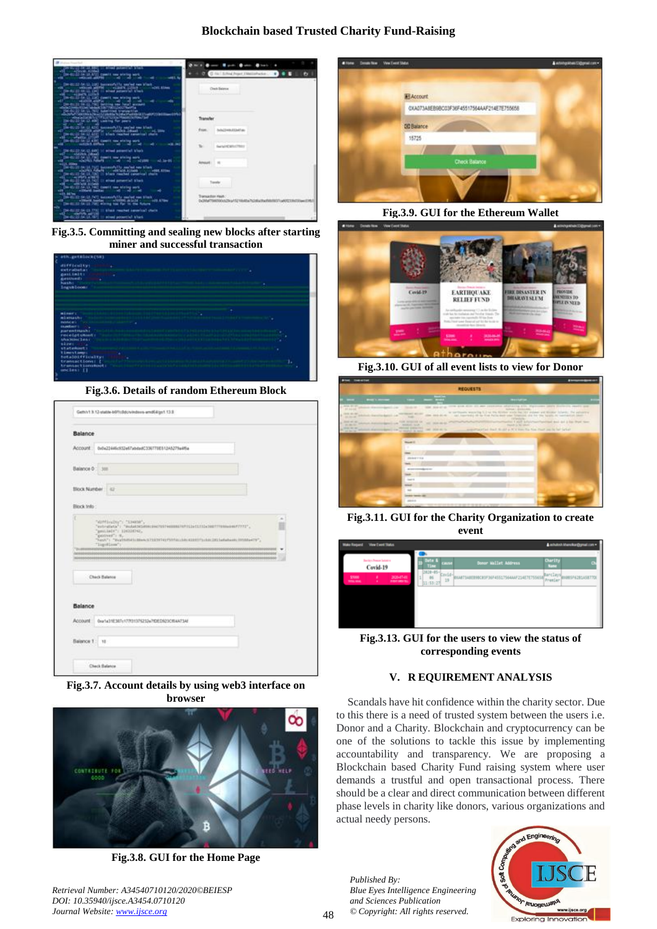# **Blockchain based Trusted Charity Fund-Raising**



**Fig.3.5. Committing and sealing new blocks after starting miner and successful transaction**



**Fig.3.6. Details of random Ethereum Block**

|                                         | Balance                                                                                                                                                                                                           |
|-----------------------------------------|-------------------------------------------------------------------------------------------------------------------------------------------------------------------------------------------------------------------|
| Account                                 | 0x0x22446c932e57abdadC336770E513A5279u4f5a                                                                                                                                                                        |
| Balance 0                               | 319                                                                                                                                                                                                               |
| <b>SAN GUILD</b><br><b>Block Number</b> | $\overline{a}$                                                                                                                                                                                                    |
| Block Info:                             |                                                                                                                                                                                                                   |
|                                         | "AIPENNING": "ENGIN";<br>"sylvalista": "indaktionimissimistimissimistimissimismissimistimi";<br>"gentials": 1202001.<br>"governi's it.<br>"NAM") "PealWilliams-L'ISINTEETHIALLIA ESITTLIAI 2013alainen (HAMelTY", |
|                                         | "ligitloss":                                                                                                                                                                                                      |
|                                         | Check Balance                                                                                                                                                                                                     |
| Balance                                 |                                                                                                                                                                                                                   |
| Account                                 | 0w1x11E3E1v17701376233x7t0ED923Cf6A4134f                                                                                                                                                                          |

**Fig.3.7. Account details by using web3 interface on browser**



**Fig.3.8. GUI for the Home Page**

*Retrieval Number: A34540710120/2020©BEIESP DOI: 10.35940/ijsce.A3454.0710120 Journal Website: www.ijsce.org*



**Fig.3.9. GUI for the Ethereum Wallet**



**Fig.3.10. GUI of all event lists to view for Donor**



**Fig.3.11. GUI for the Charity Organization to create event**

| Make Roquest View Evert Status                                         |                                                                               | A whatrot khanchar@gmail.com =     |
|------------------------------------------------------------------------|-------------------------------------------------------------------------------|------------------------------------|
| <b>Tarriers Presser Setuping</b><br>Covid-19                           | Date &<br>Donor Mallet Address<br>Circle<br>Time                              | <b>Charlity</b><br><b>Name</b>     |
| 363647-01<br>\$7000<br>٠<br><b>PURCHASES</b><br><b>TOTAL GOAL</b><br>٠ | DR29-05- Covid-<br>EXAETIAREMENT 365<br>7564AAF214E7E755658<br>29<br>11:53:27 | Barclays<br>Premier<br>085F6285A5K |
|                                                                        |                                                                               |                                    |
|                                                                        |                                                                               |                                    |
|                                                                        |                                                                               |                                    |

**Fig.3.13. GUI for the users to view the status of corresponding events**

# **V. R EQUIREMENT ANALYSIS**

Scandals have hit confidence within the charity sector. Due to this there is a need of trusted system between the users i.e. Donor and a Charity. Blockchain and cryptocurrency can be one of the solutions to tackle this issue by implementing accountability and transparency. We are proposing a Blockchain based Charity Fund raising system where user demands a trustful and open transactional process. There should be a clear and direct communication between different phase levels in charity like donors, various organizations and actual needy persons.

*Published By: Blue Eyes Intelligence Engineering and Sciences Publication © Copyright: All rights reserved.*

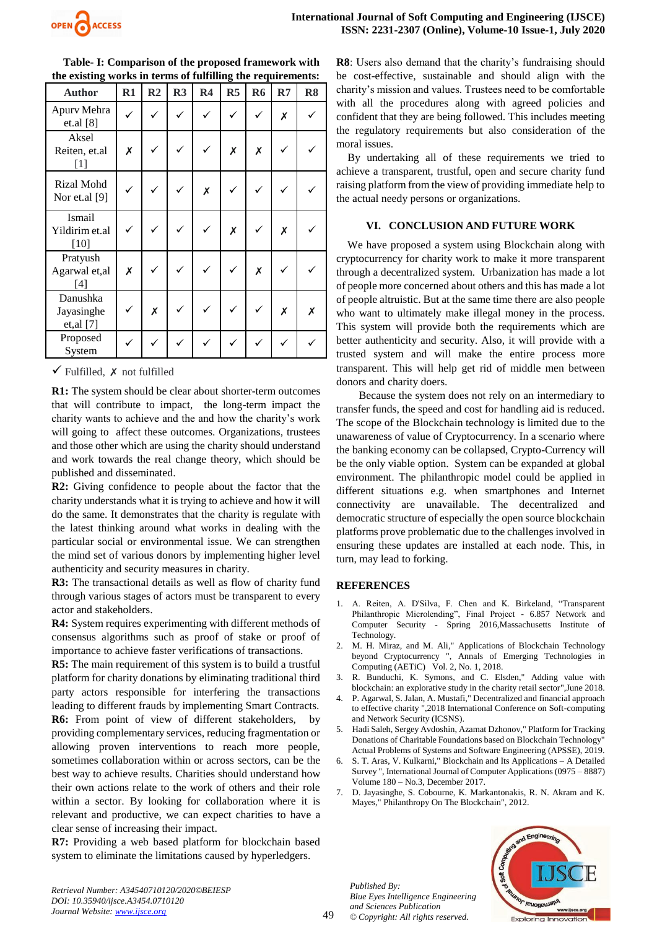

| <b>Author</b>                             | $R1$ | R <sub>2</sub> | R3 | R <sub>4</sub> | R <sub>5</sub> | R <sub>6</sub> | R7 | R <sub>8</sub> |
|-------------------------------------------|------|----------------|----|----------------|----------------|----------------|----|----------------|
| Apurv Mehra<br>et.al [8]                  |      |                |    |                |                |                | Х  |                |
| Aksel<br>Reiten, et.al<br>$[1]$           | X    | $\checkmark$   |    |                | X              | X              |    |                |
| Rizal Mohd<br>Nor et.al [9]               |      |                |    | X              |                |                |    |                |
| <b>Ismail</b><br>Yildirim et.al<br>$[10]$ |      |                |    |                | Х              |                | X  |                |
| Pratyush<br>Agarwal et, al<br>$[4]$       | X    |                |    |                |                | X              |    |                |
| Danushka<br>Jayasinghe<br>et, al [7]      |      | X              |    |                |                |                | X  | Х              |
| Proposed<br>System                        |      |                |    |                |                |                |    |                |

**Table- I: Comparison of the proposed framework with the existing works in terms of fulfilling the requirements:**

 $\checkmark$  Fulfilled,  $\checkmark$  not fulfilled

**R1:** The system should be clear about shorter-term outcomes that will contribute to impact, the long-term impact the charity wants to achieve and the and how the charity's work will going to affect these outcomes. Organizations, trustees and those other which are using the charity should understand and work towards the real change theory, which should be published and disseminated.

**R2:** Giving confidence to people about the factor that the charity understands what it is trying to achieve and how it will do the same. It demonstrates that the charity is regulate with the latest thinking around what works in dealing with the particular social or environmental issue. We can strengthen the mind set of various donors by implementing higher level authenticity and security measures in charity.

**R3:** The transactional details as well as flow of charity fund through various stages of actors must be transparent to every actor and stakeholders.

**R4:** System requires experimenting with different methods of consensus algorithms such as proof of stake or proof of importance to achieve faster verifications of transactions.

**R5:** The main requirement of this system is to build a trustful platform for charity donations by eliminating traditional third party actors responsible for interfering the transactions leading to different frauds by implementing Smart Contracts. **R6:** From point of view of different stakeholders, by

providing complementary services, reducing fragmentation or allowing proven interventions to reach more people, sometimes collaboration within or across sectors, can be the best way to achieve results. Charities should understand how their own actions relate to the work of others and their role within a sector. By looking for collaboration where it is relevant and productive, we can expect charities to have a clear sense of increasing their impact.

**R7:** Providing a web based platform for blockchain based system to eliminate the limitations caused by hyperledgers.

**R8**: Users also demand that the charity's fundraising should be cost-effective, sustainable and should align with the charity's mission and values. Trustees need to be comfortable with all the procedures along with agreed policies and confident that they are being followed. This includes meeting the regulatory requirements but also consideration of the moral issues.

By undertaking all of these requirements we tried to achieve a transparent, trustful, open and secure charity fund raising platform from the view of providing immediate help to the actual needy persons or organizations.

#### **VI. CONCLUSION AND FUTURE WORK**

We have proposed a system using Blockchain along with cryptocurrency for charity work to make it more transparent through a decentralized system. Urbanization has made a lot of people more concerned about others and this has made a lot of people altruistic. But at the same time there are also people who want to ultimately make illegal money in the process. This system will provide both the requirements which are better authenticity and security. Also, it will provide with a trusted system and will make the entire process more transparent. This will help get rid of middle men between donors and charity doers.

Because the system does not rely on an intermediary to transfer funds, the speed and cost for handling aid is reduced. The scope of the Blockchain technology is limited due to the unawareness of value of Cryptocurrency. In a scenario where the banking economy can be collapsed, Crypto-Currency will be the only viable option. System can be expanded at global environment. The philanthropic model could be applied in different situations e.g. when smartphones and Internet connectivity are unavailable. The decentralized and democratic structure of especially the open source blockchain platforms prove problematic due to the challenges involved in ensuring these updates are installed at each node. This, in turn, may lead to forking.

## **REFERENCES**

- 1. A. Reiten, A. D'Silva, F. Chen and K. Birkeland, "Transparent Philanthropic Microlending", Final Project - 6.857 Network and Computer Security - Spring 2016,Massachusetts Institute of Technology.
- 2. M. H. Miraz, and M. Ali," Applications of Blockchain Technology beyond Cryptocurrency ", Annals of Emerging Technologies in Computing (AETiC) Vol. 2, No. 1, 2018.
- 3. R. Bunduchi, K. Symons, and C. Elsden," Adding value with blockchain: an explorative study in the charity retail sector",June 2018.
- 4. P. Agarwal, S. Jalan, A. Mustafi," Decentralized and financial approach to effective charity ",2018 International Conference on Soft-computing and Network Security (ICSNS).
- 5. Hadi Saleh, Sergey Avdoshin, Azamat Dzhonov," Platform for Tracking Donations of Charitable Foundations based on Blockchain Technology" Actual Problems of Systems and Software Engineering (APSSE), 2019.
- 6. S. T. Aras, V. Kulkarni," Blockchain and Its Applications A Detailed Survey ", International Journal of Computer Applications (0975 – 8887) Volume 180 – No.3, December 2017.
- 7. D. Jayasinghe, S. Cobourne, K. Markantonakis, R. N. Akram and K. Mayes," Philanthropy On The Blockchain", 2012.

*Published By: Blue Eyes Intelligence Engineering and Sciences Publication © Copyright: All rights reserved.*



*Retrieval Number: A34540710120/2020©BEIESP DOI: 10.35940/ijsce.A3454.0710120 Journal Website: www.ijsce.org*

49